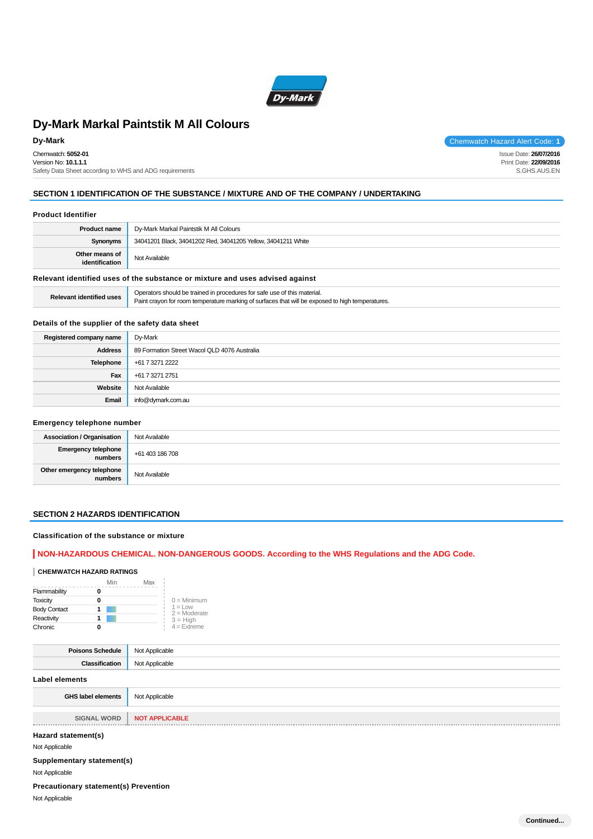

Chemwatch: **5052-01** Version No: **10.1.1.1** Safety Data Sheet according to WHS and ADG requirements

**Dy-Mark** Chemwatch Hazard Alert Code: 1 Issue Date: **26/07/2016**

Print Date: **22/09/2016** S.GHS.AUS.EN

## **SECTION 1 IDENTIFICATION OF THE SUBSTANCE / MIXTURE AND OF THE COMPANY / UNDERTAKING**

#### **Product Identifier**

| <b>Product name</b>                                                           | Dy-Mark Markal Paintstik M All Colours                                                                                                                                       |  |
|-------------------------------------------------------------------------------|------------------------------------------------------------------------------------------------------------------------------------------------------------------------------|--|
| Synonyms                                                                      | 34041201 Black, 34041202 Red, 34041205 Yellow, 34041211 White                                                                                                                |  |
| Other means of<br>identification                                              | Not Available                                                                                                                                                                |  |
| Relevant identified uses of the substance or mixture and uses advised against |                                                                                                                                                                              |  |
| <b>Relevant identified uses</b>                                               | Operators should be trained in procedures for safe use of this material.<br>Paint crayon for room temperature marking of surfaces that will be exposed to high temperatures. |  |

## **Details of the supplier of the safety data sheet**

| Registered company name | Dy-Mark                                      |
|-------------------------|----------------------------------------------|
| <b>Address</b>          | 89 Formation Street Wacol QLD 4076 Australia |
| <b>Telephone</b>        | +61 7 3271 2222                              |
| Fax                     | +61 7 3271 2751                              |
| Website                 | Not Available                                |
| Email                   | info@dymark.com.au                           |

## **Emergency telephone number**

| <b>Association / Organisation</b>    | Not Available   |
|--------------------------------------|-----------------|
| Emergency telephone<br>numbers       | +61 403 186 708 |
| Other emergency telephone<br>numbers | Not Available   |

## **SECTION 2 HAZARDS IDENTIFICATION**

## **Classification of the substance or mixture**

## **NON-HAZARDOUS CHEMICAL. NON-DANGEROUS GOODS. According to the WHS Regulations and the ADG Code.**

## **CHEMWATCH HAZARD RATINGS**

|                     | Min | Max |                             |
|---------------------|-----|-----|-----------------------------|
| Flammability        |     |     |                             |
| <b>Toxicity</b>     |     |     | $0 =$ Minimum               |
| <b>Body Contact</b> |     |     | $1 = Low$<br>$2 =$ Moderate |
| Reactivity          |     |     | $3 = High$                  |
| Chronic             |     |     | $4 =$ Extreme               |

| <b>Poisons Schedule</b>   | Not Applicable        |
|---------------------------|-----------------------|
| <b>Classification</b>     | Not Applicable        |
| <b>Label elements</b>     |                       |
| <b>GHS label elements</b> | Not Applicable        |
|                           |                       |
| <b>SIGNAL WORD</b>        | <b>NOT APPLICABLE</b> |
|                           |                       |

## **Hazard statement(s)**

Not Applicable

## **Supplementary statement(s)**

Not Applicable

## **Precautionary statement(s) Prevention**

Not Applicable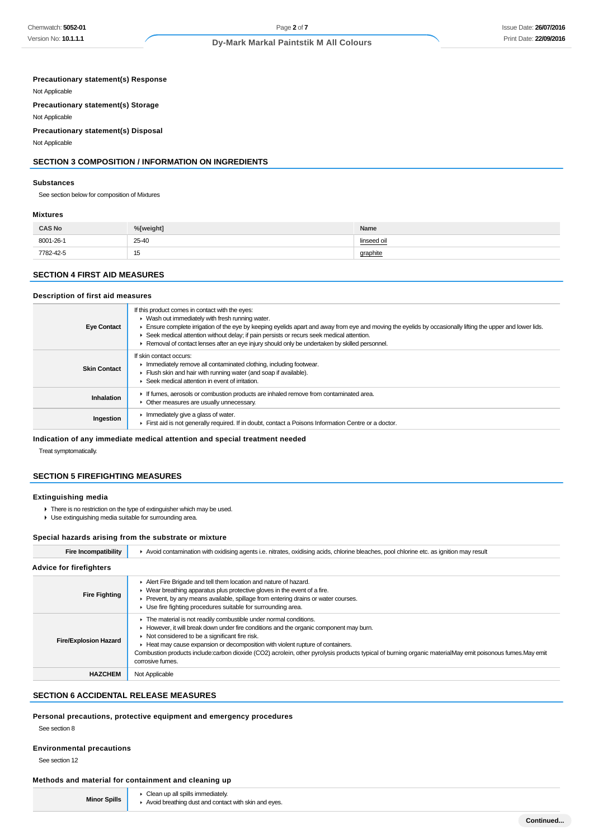## Issue Date: **26/07/2016** Print Date: **22/09/2016**

## **Dy-Mark Markal Paintstik M All Colours**

## **Precautionary statement(s) Response**

Not Applicable

**Precautionary statement(s) Storage**

Not Applicable

## **Precautionary statement(s) Disposal**

Not Applicable

## **SECTION 3 COMPOSITION / INFORMATION ON INGREDIENTS**

#### **Substances**

See section below for composition of Mixtures

#### **Mixtures**

| <b>CAS No</b> | %[weight] | Name        |
|---------------|-----------|-------------|
| 8001-26-1     | 25-40     | linseed oil |
| 7782-42-5     | 15        | graphite    |

## **SECTION 4 FIRST AID MEASURES**

#### **Description of first aid measures**

| <b>Eye Contact</b>  | If this product comes in contact with the eyes:<br>$\blacktriangleright$ Wash out immediately with fresh running water.<br>Ensure complete irrigation of the eye by keeping eyelids apart and away from eye and moving the eyelids by occasionally lifting the upper and lower lids.<br>Seek medical attention without delay; if pain persists or recurs seek medical attention.<br>► Removal of contact lenses after an eye injury should only be undertaken by skilled personnel. |
|---------------------|-------------------------------------------------------------------------------------------------------------------------------------------------------------------------------------------------------------------------------------------------------------------------------------------------------------------------------------------------------------------------------------------------------------------------------------------------------------------------------------|
| <b>Skin Contact</b> | If skin contact occurs:<br>Immediately remove all contaminated clothing, including footwear.<br>Flush skin and hair with running water (and soap if available).<br>Seek medical attention in event of irritation.                                                                                                                                                                                                                                                                   |
| Inhalation          | If fumes, aerosols or combustion products are inhaled remove from contaminated area.<br>• Other measures are usually unnecessary.                                                                                                                                                                                                                                                                                                                                                   |
| Ingestion           | Immediately give a glass of water.<br>First aid is not generally required. If in doubt, contact a Poisons Information Centre or a doctor.                                                                                                                                                                                                                                                                                                                                           |

#### **Indication of any immediate medical attention and special treatment needed**

Treat symptomatically.

## **SECTION 5 FIREFIGHTING MEASURES**

#### **Extinguishing media**

- There is no restriction on the type of extinguisher which may be used.
- Use extinguishing media suitable for surrounding area.

#### **Special hazards arising from the substrate or mixture**

| <b>Fire Incompatibility</b>    | Avoid contamination with oxidising agents i.e. nitrates, oxidising acids, chlorine bleaches, pool chlorine etc. as ignition may result                                                                                                                                                                                                                                                                                                                                                         |
|--------------------------------|------------------------------------------------------------------------------------------------------------------------------------------------------------------------------------------------------------------------------------------------------------------------------------------------------------------------------------------------------------------------------------------------------------------------------------------------------------------------------------------------|
| <b>Advice for firefighters</b> |                                                                                                                                                                                                                                                                                                                                                                                                                                                                                                |
| <b>Fire Fighting</b>           | Alert Fire Brigade and tell them location and nature of hazard.<br>• Wear breathing apparatus plus protective gloves in the event of a fire.<br>▶ Prevent, by any means available, spillage from entering drains or water courses.<br>Use fire fighting procedures suitable for surrounding area.                                                                                                                                                                                              |
| <b>Fire/Explosion Hazard</b>   | The material is not readily combustible under normal conditions.<br>However, it will break down under fire conditions and the organic component may burn.<br>$\triangleright$ Not considered to be a significant fire risk.<br>► Heat may cause expansion or decomposition with violent rupture of containers.<br>Combustion products include:carbon dioxide (CO2) acrolein, other pyrolysis products typical of burning organic materialMay emit poisonous fumes.May emit<br>corrosive fumes. |
| <b>HAZCHEM</b>                 | Not Applicable                                                                                                                                                                                                                                                                                                                                                                                                                                                                                 |

## **SECTION 6 ACCIDENTAL RELEASE MEASURES**

## **Personal precautions, protective equipment and emergency procedures**

See section 8

## **Environmental precautions**

See section 12

## **Methods and material for containment and cleaning up**

Clean up all spills immediately. Avoid breathing dust and contact with skin and eyes.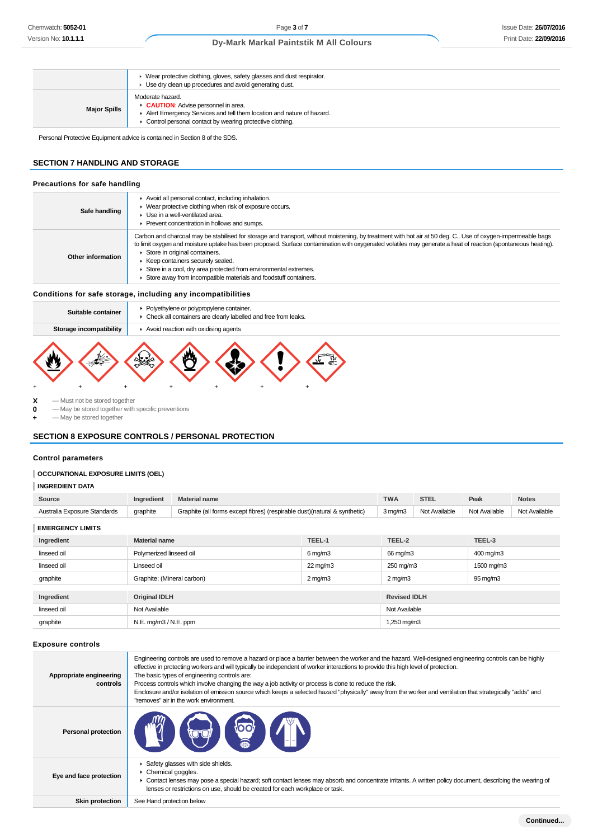|                     | • Wear protective clothing, gloves, safety glasses and dust respirator.<br>• Use dry clean up procedures and avoid generating dust.                                                                  |
|---------------------|------------------------------------------------------------------------------------------------------------------------------------------------------------------------------------------------------|
| <b>Major Spills</b> | Moderate hazard.<br><b>CAUTION:</b> Advise personnel in area.<br>Alert Emergency Services and tell them location and nature of hazard.<br>• Control personal contact by wearing protective clothing. |

Personal Protective Equipment advice is contained in Section 8 of the SDS.

## **SECTION 7 HANDLING AND STORAGE**

#### **Precautions for safe handling**

| Safe handling     | Avoid all personal contact, including inhalation.<br>• Wear protective clothing when risk of exposure occurs.<br>▶ Use in a well-ventilated area.<br>▶ Prevent concentration in hollows and sumps.                                                                                                                                                                                                                                                                                                                                         |
|-------------------|--------------------------------------------------------------------------------------------------------------------------------------------------------------------------------------------------------------------------------------------------------------------------------------------------------------------------------------------------------------------------------------------------------------------------------------------------------------------------------------------------------------------------------------------|
| Other information | Carbon and charcoal may be stabilised for storage and transport, without moistening, by treatment with hot air at 50 deg. C Use of oxygen-impermeable bags<br>to limit oxygen and moisture uptake has been proposed. Surface contamination with oxygenated volatiles may generate a heat of reaction (spontaneous heating).<br>Store in original containers.<br>▶ Keep containers securely sealed.<br>Store in a cool, dry area protected from environmental extremes.<br>Store away from incompatible materials and foodstuff containers. |

## **Conditions for safe storage, including any incompatibilities**

| Suitable container      | • Polyethylene or polypropylene container.<br>• Check all containers are clearly labelled and free from leaks. |
|-------------------------|----------------------------------------------------------------------------------------------------------------|
| Storage incompatibility | Avoid reaction with oxidising agents                                                                           |
|                         |                                                                                                                |

**X** — Must not be stored together

**0** — May be stored together with specific preventions

**+** — May be stored together

## **SECTION 8 EXPOSURE CONTROLS / PERSONAL PROTECTION**

## **Control parameters**

## **OCCUPATIONAL EXPOSURE LIMITS (OEL)**

## **INGREDIENT DATA**

| Source                       | Ingredient                                 | <b>Material name</b>                                                      |                       | <b>TWA</b>          | <b>STEL</b>   | Peak                 | <b>Notes</b>  |
|------------------------------|--------------------------------------------|---------------------------------------------------------------------------|-----------------------|---------------------|---------------|----------------------|---------------|
| Australia Exposure Standards | graphite                                   | Graphite (all forms except fibres) (respirable dust)(natural & synthetic) |                       | $3$ mg/m $3$        | Not Available | Not Available        | Not Available |
| <b>EMERGENCY LIMITS</b>      |                                            |                                                                           |                       |                     |               |                      |               |
| Ingredient                   | <b>Material name</b>                       |                                                                           | TEEL-1                | TEEL-2              |               | TEEL-3               |               |
| linseed oil                  | Polymerized linseed oil                    |                                                                           | $6 \,\mathrm{mq/m}$ 3 | 66 mg/m3            |               | 400 mg/m3            |               |
| linseed oil                  | Linseed oil                                |                                                                           | 22 mg/m3              | 250 mg/m3           |               | 1500 mg/m3           |               |
| graphite                     | Graphite; (Mineral carbon)<br>$2$ mg/m $3$ |                                                                           |                       | $2 \text{ mg/m}$    |               | $95 \,\mathrm{mg/m}$ |               |
|                              |                                            |                                                                           |                       |                     |               |                      |               |
| Ingredient                   | <b>Original IDLH</b>                       |                                                                           |                       | <b>Revised IDLH</b> |               |                      |               |
| linseed oil                  | Not Available                              |                                                                           | Not Available         |                     |               |                      |               |
| graphite                     | N.E. mg/m3 / N.E. ppm                      |                                                                           |                       | 1,250 mg/m3         |               |                      |               |

## **Exposure controls**

| Appropriate engineering<br>controls | Engineering controls are used to remove a hazard or place a barrier between the worker and the hazard. Well-designed engineering controls can be highly<br>effective in protecting workers and will typically be independent of worker interactions to provide this high level of protection.<br>The basic types of engineering controls are:<br>Process controls which involve changing the way a job activity or process is done to reduce the risk.<br>Enclosure and/or isolation of emission source which keeps a selected hazard "physically" away from the worker and ventilation that strategically "adds" and<br>"removes" air in the work environment. |
|-------------------------------------|-----------------------------------------------------------------------------------------------------------------------------------------------------------------------------------------------------------------------------------------------------------------------------------------------------------------------------------------------------------------------------------------------------------------------------------------------------------------------------------------------------------------------------------------------------------------------------------------------------------------------------------------------------------------|
| <b>Personal protection</b>          | <b>COLLEGE</b>                                                                                                                                                                                                                                                                                                                                                                                                                                                                                                                                                                                                                                                  |
| Eye and face protection             | Safety glasses with side shields.<br>▶ Chemical goggles.<br>• Contact lenses may pose a special hazard; soft contact lenses may absorb and concentrate irritants. A written policy document, describing the wearing of<br>lenses or restrictions on use, should be created for each workplace or task.                                                                                                                                                                                                                                                                                                                                                          |
| <b>Skin protection</b>              | See Hand protection below                                                                                                                                                                                                                                                                                                                                                                                                                                                                                                                                                                                                                                       |
|                                     |                                                                                                                                                                                                                                                                                                                                                                                                                                                                                                                                                                                                                                                                 |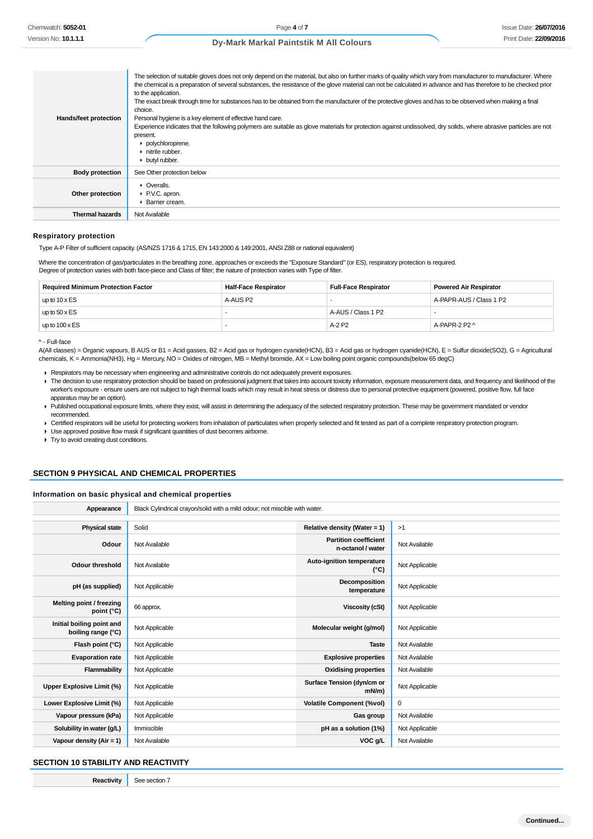| Hands/feet protection  | The selection of suitable gloves does not only depend on the material, but also on further marks of quality which vary from manufacturer to manufacturer. Where<br>the chemical is a preparation of several substances, the resistance of the glove material can not be calculated in advance and has therefore to be checked prior<br>to the application.<br>The exact break through time for substances has to be obtained from the manufacturer of the protective gloves and has to be observed when making a final<br>choice.<br>Personal hygiene is a key element of effective hand care.<br>Experience indicates that the following polymers are suitable as glove materials for protection against undissolved, dry solids, where abrasive particles are not<br>present.<br>polychloroprene.<br>$\blacktriangleright$ nitrile rubber.<br>butyl rubber. |
|------------------------|---------------------------------------------------------------------------------------------------------------------------------------------------------------------------------------------------------------------------------------------------------------------------------------------------------------------------------------------------------------------------------------------------------------------------------------------------------------------------------------------------------------------------------------------------------------------------------------------------------------------------------------------------------------------------------------------------------------------------------------------------------------------------------------------------------------------------------------------------------------|
| <b>Body protection</b> | See Other protection below                                                                                                                                                                                                                                                                                                                                                                                                                                                                                                                                                                                                                                                                                                                                                                                                                                    |
| Other protection       | $\triangleright$ Overalls.<br>▶ P.V.C. apron.<br>▶ Barrier cream.                                                                                                                                                                                                                                                                                                                                                                                                                                                                                                                                                                                                                                                                                                                                                                                             |
| <b>Thermal hazards</b> | Not Available                                                                                                                                                                                                                                                                                                                                                                                                                                                                                                                                                                                                                                                                                                                                                                                                                                                 |

#### **Respiratory protection**

Type A-P Filter of sufficient capacity. (AS/NZS 1716 & 1715, EN 143:2000 & 149:2001, ANSI Z88 or national equivalent)

Where the concentration of gas/particulates in the breathing zone, approaches or exceeds the "Exposure Standard" (or ES), respiratory protection is required. Degree of protection varies with both face-piece and Class of filter; the nature of protection varies with Type of filter.

| <b>Required Minimum Protection Factor</b> | <b>Half-Face Respirator</b> | <b>Full-Face Respirator</b> | <b>Powered Air Respirator</b> |
|-------------------------------------------|-----------------------------|-----------------------------|-------------------------------|
| up to $10 \times ES$                      | A-AUS P2                    | -                           | A-PAPR-AUS / Class 1 P2       |
| up to $50 \times ES$                      |                             | A-AUS / Class 1 P2          |                               |
| up to $100 \times ES$                     |                             | A-2 P2                      | A-PAPR-2 P2 ^                 |

^ - Full-face

A(All classes) = Organic vapours, B AUS or B1 = Acid gasses, B2 = Acid gas or hydrogen cyanide(HCN), B3 = Acid gas or hydrogen cyanide(HCN), E = Sulfur dioxide(SO2), G = Agricultural chemicals, K = Ammonia(NH3), Hg = Mercury, NO = Oxides of nitrogen, MB = Methyl bromide, AX = Low boiling point organic compounds(below 65 degC)

Respirators may be necessary when engineering and administrative controls do not adequately prevent exposures.

- The decision to use respiratory protection should be based on professional judgment that takes into account toxicity information, exposure measurement data, and frequency and likelihood of the worker's exposure - ensure users are not subject to high thermal loads which may result in heat stress or distress due to personal protective equipment (powered, positive flow, full face apparatus may be an option).
- Published occupational exposure limits, where they exist, will assist in determining the adequacy of the selected respiratory protection. These may be government mandated or vendor recommended.

▶ Certified respirators will be useful for protecting workers from inhalation of particulates when properly selected and fit tested as part of a complete respiratory protection program.

Use approved positive flow mask if significant quantities of dust becomes airborne.

**Try to avoid creating dust conditions.** 

#### **SECTION 9 PHYSICAL AND CHEMICAL PROPERTIES**

## **Information on basic physical and chemical properties**

| Appearance                                      | Black Cylindrical crayon/solid with a mild odour; not miscible with water. |                                                   |                |
|-------------------------------------------------|----------------------------------------------------------------------------|---------------------------------------------------|----------------|
|                                                 |                                                                            |                                                   |                |
| <b>Physical state</b>                           | Solid                                                                      | Relative density (Water = 1)                      | >1             |
| Odour                                           | Not Available                                                              | <b>Partition coefficient</b><br>n-octanol / water | Not Available  |
| <b>Odour threshold</b>                          | Not Available                                                              | Auto-ignition temperature<br>$(^{\circ}C)$        | Not Applicable |
| pH (as supplied)                                | Not Applicable                                                             | Decomposition<br>temperature                      | Not Applicable |
| Melting point / freezing<br>point $(^{\circ}C)$ | 66 approx.                                                                 | <b>Viscosity (cSt)</b>                            | Not Applicable |
| Initial boiling point and<br>boiling range (°C) | Not Applicable                                                             | Molecular weight (g/mol)                          | Not Applicable |
| Flash point (°C)                                | Not Applicable                                                             | <b>Taste</b>                                      | Not Available  |
| <b>Evaporation rate</b>                         | Not Applicable                                                             | <b>Explosive properties</b>                       | Not Available  |
| Flammability                                    | Not Applicable                                                             | <b>Oxidising properties</b>                       | Not Available  |
| <b>Upper Explosive Limit (%)</b>                | Not Applicable                                                             | Surface Tension (dyn/cm or<br>$mN/m$ )            | Not Applicable |
| Lower Explosive Limit (%)                       | Not Applicable                                                             | <b>Volatile Component (%vol)</b>                  | 0              |
| Vapour pressure (kPa)                           | Not Applicable                                                             | Gas group                                         | Not Available  |
| Solubility in water (g/L)                       | Immiscible                                                                 | pH as a solution (1%)                             | Not Applicable |
| Vapour density $(Air = 1)$                      | Not Available                                                              | VOC g/L                                           | Not Available  |

## **SECTION 10 STABILITY AND REACTIVITY**

**Reactivity** See section 7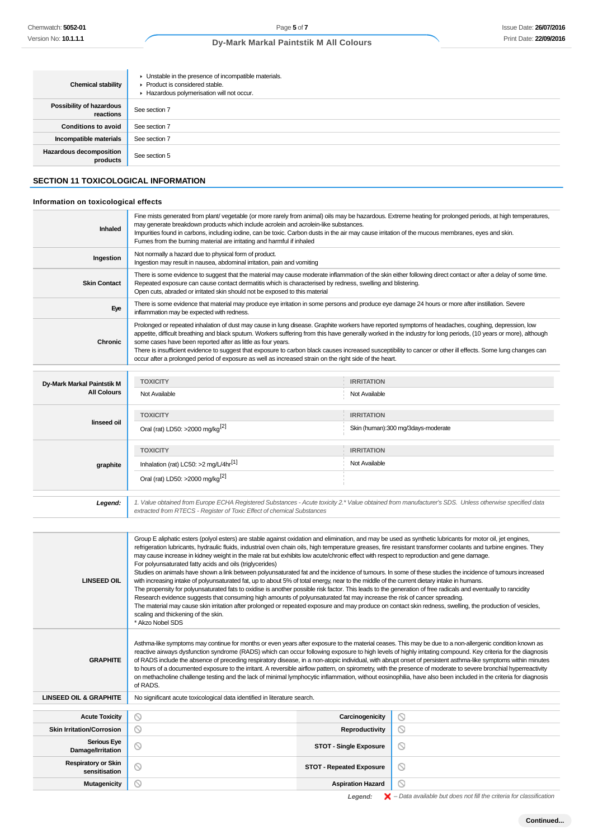| <b>Chemical stability</b>                   | • Unstable in the presence of incompatible materials.<br>▶ Product is considered stable.<br>Hazardous polymerisation will not occur.                                                                                                                                                                                                                                                                    |
|---------------------------------------------|---------------------------------------------------------------------------------------------------------------------------------------------------------------------------------------------------------------------------------------------------------------------------------------------------------------------------------------------------------------------------------------------------------|
| Possibility of hazardous<br>reactions       | See section 7                                                                                                                                                                                                                                                                                                                                                                                           |
| <b>Conditions to avoid</b>                  | See section 7                                                                                                                                                                                                                                                                                                                                                                                           |
| Incompatible materials                      | See section 7                                                                                                                                                                                                                                                                                                                                                                                           |
| Hazardous decomposition<br>products         | See section 5                                                                                                                                                                                                                                                                                                                                                                                           |
| <b>SECTION 11 TOXICOLOGICAL INFORMATION</b> |                                                                                                                                                                                                                                                                                                                                                                                                         |
| Information on toxicological effects        |                                                                                                                                                                                                                                                                                                                                                                                                         |
| Inhaled                                     | Fine mists generated from plant/vegetable (or more rarely from animal) oils may be hazardous. Extreme heating for prolonged periods, at high temperatures,<br>may generate breakdown products which include acrolein and acrolein-like substances.<br>Impurities found in carbons, including iodine, can be toxic. Carbon dusts in the air may cause irritation of the mucous membranes, eyes and skin. |

| illialeu                   | Impurities found in carbons, including iodine, can be toxic. Carbon dusts in the air may cause irritation of the mucous membranes, eyes and skin.<br>Fumes from the burning material are irritating and harmful if inhaled                                                                                                                                                                                                                                                                                                                                                                                                                                         |                                    |  |
|----------------------------|--------------------------------------------------------------------------------------------------------------------------------------------------------------------------------------------------------------------------------------------------------------------------------------------------------------------------------------------------------------------------------------------------------------------------------------------------------------------------------------------------------------------------------------------------------------------------------------------------------------------------------------------------------------------|------------------------------------|--|
| Ingestion                  | Not normally a hazard due to physical form of product.<br>Ingestion may result in nausea, abdominal irritation, pain and vomiting                                                                                                                                                                                                                                                                                                                                                                                                                                                                                                                                  |                                    |  |
| <b>Skin Contact</b>        | There is some evidence to suggest that the material may cause moderate inflammation of the skin either following direct contact or after a delay of some time.<br>Repeated exposure can cause contact dermatitis which is characterised by redness, swelling and blistering.<br>Open cuts, abraded or irritated skin should not be exposed to this material                                                                                                                                                                                                                                                                                                        |                                    |  |
| Eye                        | There is some evidence that material may produce eye irritation in some persons and produce eye damage 24 hours or more after instillation. Severe<br>inflammation may be expected with redness.                                                                                                                                                                                                                                                                                                                                                                                                                                                                   |                                    |  |
| Chronic                    | Prolonged or repeated inhalation of dust may cause in lung disease. Graphite workers have reported symptoms of headaches, coughing, depression, low<br>appetite, difficult breathing and black sputum. Workers suffering from this have generally worked in the industry for long periods, (10 years or more), although<br>some cases have been reported after as little as four years.<br>There is insufficient evidence to suggest that exposure to carbon black causes increased susceptibility to cancer or other ill effects. Some lung changes can<br>occur after a prolonged period of exposure as well as increased strain on the right side of the heart. |                                    |  |
|                            |                                                                                                                                                                                                                                                                                                                                                                                                                                                                                                                                                                                                                                                                    |                                    |  |
| Dy-Mark Markal Paintstik M | <b>TOXICITY</b>                                                                                                                                                                                                                                                                                                                                                                                                                                                                                                                                                                                                                                                    | <b>IRRITATION</b>                  |  |
| <b>All Colours</b>         | Not Available                                                                                                                                                                                                                                                                                                                                                                                                                                                                                                                                                                                                                                                      | Not Available                      |  |
| linseed oil                | <b>TOXICITY</b>                                                                                                                                                                                                                                                                                                                                                                                                                                                                                                                                                                                                                                                    | <b>IRRITATION</b>                  |  |
|                            | Oral (rat) LD50: >2000 mg/kg <sup>[2]</sup>                                                                                                                                                                                                                                                                                                                                                                                                                                                                                                                                                                                                                        | Skin (human):300 mg/3days-moderate |  |
|                            | <b>TOXICITY</b>                                                                                                                                                                                                                                                                                                                                                                                                                                                                                                                                                                                                                                                    | <b>IRRITATION</b>                  |  |
| graphite                   | Inhalation (rat) LC50: >2 mg/L/4hr <sup>[1]</sup>                                                                                                                                                                                                                                                                                                                                                                                                                                                                                                                                                                                                                  | Not Available                      |  |
|                            | Oral (rat) LD50: >2000 mg/kg <sup>[2]</sup>                                                                                                                                                                                                                                                                                                                                                                                                                                                                                                                                                                                                                        |                                    |  |

| Legend:            | 1. Value obtained from Europe ECHA Registered Substances - Acute toxicity 2.* Value obtained from manufacturer's SDS. Unless otherwise specified data<br>extracted from RTECS - Register of Toxic Effect of chemical Substances                                                                                                                                                                                                                                                                                                                                                                                                                                                                                                                                                                                                                                                                                                                                                                                                                                                                                                                                                                                                                                                                                                                                        |
|--------------------|------------------------------------------------------------------------------------------------------------------------------------------------------------------------------------------------------------------------------------------------------------------------------------------------------------------------------------------------------------------------------------------------------------------------------------------------------------------------------------------------------------------------------------------------------------------------------------------------------------------------------------------------------------------------------------------------------------------------------------------------------------------------------------------------------------------------------------------------------------------------------------------------------------------------------------------------------------------------------------------------------------------------------------------------------------------------------------------------------------------------------------------------------------------------------------------------------------------------------------------------------------------------------------------------------------------------------------------------------------------------|
|                    |                                                                                                                                                                                                                                                                                                                                                                                                                                                                                                                                                                                                                                                                                                                                                                                                                                                                                                                                                                                                                                                                                                                                                                                                                                                                                                                                                                        |
| <b>LINSEED OIL</b> | Group E aliphatic esters (polyol esters) are stable against oxidation and elimination, and may be used as synthetic lubricants for motor oil, jet engines,<br>refrigeration lubricants, hydraulic fluids, industrial oven chain oils, high temperature greases, fire resistant transformer coolants and turbine engines. They<br>may cause increase in kidney weight in the male rat but exhibits low acute/chronic effect with respect to reproduction and gene damage.<br>For polyunsaturated fatty acids and oils (triglycerides)<br>Studies on animals have shown a link between polyunsaturated fat and the incidence of tumours. In some of these studies the incidence of tumours increased<br>with increasing intake of polyunsaturated fat, up to about 5% of total energy, near to the middle of the current dietary intake in humans.<br>The propensity for polyunsaturated fats to oxidise is another possible risk factor. This leads to the generation of free radicals and eventually to rancidity<br>Research evidence suggests that consuming high amounts of polyunsaturated fat may increase the risk of cancer spreading.<br>The material may cause skin irritation after prolonged or repeated exposure and may produce on contact skin redness, swelling, the production of vesicles,<br>scaling and thickening of the skin.<br>* Akzo Nobel SDS |
|                    | Asthma-like symptoms may continue for months or even years after exposure to the material ceases. This may be due to a non-allergenic condition known as<br>reactive airways dysfunction syndrome (RADS) which can occur following exposure to high levels of highly irritating compound. Key criteria for the diagnosis                                                                                                                                                                                                                                                                                                                                                                                                                                                                                                                                                                                                                                                                                                                                                                                                                                                                                                                                                                                                                                               |

**GRAPHITE** reactive airways dysfunction syndrome (RADS) which can occur following exposure to high levels of highly irritating compound. Key criteria for the diagnosis of RADS include the absence of preceding respiratory disease, in a non-atopic individual, with abrupt onset of persistent asthma-like symptoms within minutes to hours of a documented exposure to the irritant. A reversible airflow pattern, on spirometry, with the presence of moderate to severe bronchial hyperreactivity on methacholine challenge testing and the lack of minimal lymphocytic inflammation, without eosinophilia, have also been included in the criteria for diagnosis of RADS.

| <b>LINSEED OIL &amp; GRAPHITE</b>           | No significant acute toxicological data identified in literature search. |                                 |         |
|---------------------------------------------|--------------------------------------------------------------------------|---------------------------------|---------|
|                                             |                                                                          |                                 |         |
| <b>Acute Toxicity</b>                       | $\circ$                                                                  | Carcinogenicity                 | N       |
| <b>Skin Irritation/Corrosion</b>            | $\circ$                                                                  | Reproductivity                  | $\circ$ |
| <b>Serious Eye</b><br>Damage/Irritation     | $\circ$                                                                  | <b>STOT - Single Exposure</b>   | ∾       |
| <b>Respiratory or Skin</b><br>sensitisation | O                                                                        | <b>STOT - Repeated Exposure</b> | $\circ$ |
| Mutagenicity                                |                                                                          | <b>Aspiration Hazard</b>        |         |

Legend:  $\mathsf{X}$  - Data available but does not fill the criteria for classification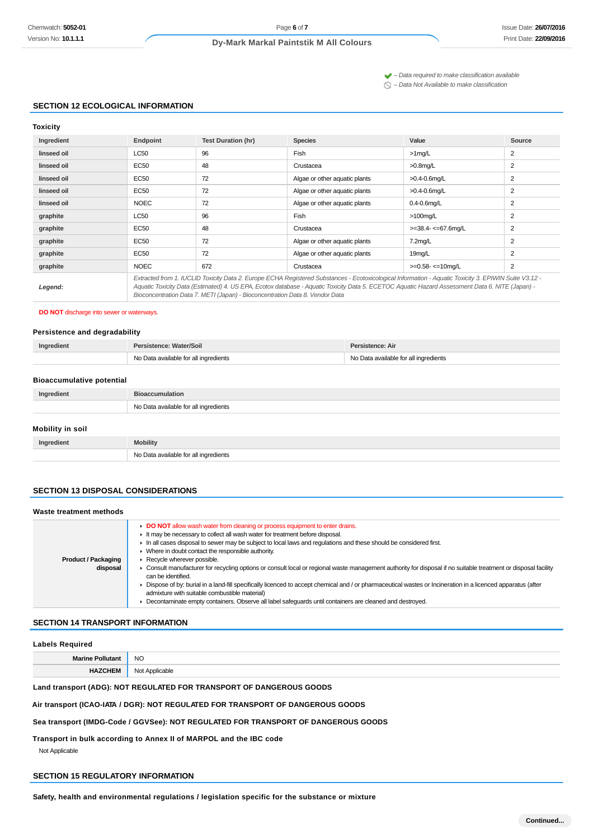$\blacktriangleright$  – Data required to make classification available

 $\bigcirc$  – Data Not Available to make classification

## **SECTION 12 ECOLOGICAL INFORMATION**

| OXICIT |  |
|--------|--|
|        |  |

| יייייי      |                                                                                                                                                                                                                                                                                                                                                                                          |                           |                               |                          |                |
|-------------|------------------------------------------------------------------------------------------------------------------------------------------------------------------------------------------------------------------------------------------------------------------------------------------------------------------------------------------------------------------------------------------|---------------------------|-------------------------------|--------------------------|----------------|
| Ingredient  | Endpoint                                                                                                                                                                                                                                                                                                                                                                                 | <b>Test Duration (hr)</b> | <b>Species</b>                | Value                    | Source         |
| linseed oil | LC50                                                                                                                                                                                                                                                                                                                                                                                     | 96                        | Fish                          | $>1$ mg/L                | 2              |
| linseed oil | EC50                                                                                                                                                                                                                                                                                                                                                                                     | 48                        | Crustacea                     | $>0.8$ mg/L              | 2              |
| linseed oil | EC50                                                                                                                                                                                                                                                                                                                                                                                     | 72                        | Algae or other aquatic plants | $>0.4 - 0.6$ mg/L        | 2              |
| linseed oil | EC50                                                                                                                                                                                                                                                                                                                                                                                     | 72                        | Algae or other aquatic plants | $>0.4 - 0.6$ mg/L        | 2              |
| linseed oil | <b>NOEC</b>                                                                                                                                                                                                                                                                                                                                                                              | 72                        | Algae or other aquatic plants | $0.4 - 0.6$ mg/L         | 2              |
| graphite    | LC50                                                                                                                                                                                                                                                                                                                                                                                     | 96                        | Fish                          | $>100$ mg/L              | 2              |
| graphite    | EC50                                                                                                                                                                                                                                                                                                                                                                                     | 48                        | Crustacea                     | $>=$ 38.4- $<=$ 67.6mg/L | 2              |
| graphite    | <b>EC50</b>                                                                                                                                                                                                                                                                                                                                                                              | 72                        | Algae or other aquatic plants | $7.2$ mg/L               | 2              |
| graphite    | <b>EC50</b>                                                                                                                                                                                                                                                                                                                                                                              | 72                        | Algae or other aquatic plants | 19mg/L                   | $\overline{2}$ |
| graphite    | <b>NOEC</b>                                                                                                                                                                                                                                                                                                                                                                              | 672                       | Crustacea                     | $>=0.58 - 10$ mg/L       | 2              |
| Legend:     | Extracted from 1. IUCLID Toxicity Data 2. Europe ECHA Registered Substances - Ecotoxicological Information - Aguatic Toxicity 3. EPIWIN Suite V3.12 -<br>Aquatic Toxicity Data (Estimated) 4. US EPA, Ecotox database - Aquatic Toxicity Data 5. ECETOC Aquatic Hazard Assessment Data 6. NITE (Japan) -<br>Bioconcentration Data 7. METI (Japan) - Bioconcentration Data 8. Vendor Data |                           |                               |                          |                |

## **DO NOT** discharge into sewer or waterways.

## **Persistence and degradability**

| Ingredient | Persistence: Water/Soil               | Persistence: Air                      |  |
|------------|---------------------------------------|---------------------------------------|--|
|            | No Data available for all ingredients | No Data available for all ingredients |  |

#### **Bioaccumulative potential**

| Ingredient              | <b>Bioaccumulation</b>                |
|-------------------------|---------------------------------------|
|                         | No Data available for all ingredients |
| <b>Mobility in soil</b> |                                       |

| <b>Mobility</b> |
|-----------------|
| NIc<br>.        |

## **SECTION 13 DISPOSAL CONSIDERATIONS**

| Waste treatment methods                |                                                                                                                                                                                                                                                                                                                                                                                                                                                                                                                                                                                                                                                                                                                                                                                                                                                                                              |
|----------------------------------------|----------------------------------------------------------------------------------------------------------------------------------------------------------------------------------------------------------------------------------------------------------------------------------------------------------------------------------------------------------------------------------------------------------------------------------------------------------------------------------------------------------------------------------------------------------------------------------------------------------------------------------------------------------------------------------------------------------------------------------------------------------------------------------------------------------------------------------------------------------------------------------------------|
| <b>Product / Packaging</b><br>disposal | DO NOT allow wash water from cleaning or process equipment to enter drains.<br>It may be necessary to collect all wash water for treatment before disposal.<br>In all cases disposal to sewer may be subject to local laws and requlations and these should be considered first.<br>• Where in doubt contact the responsible authority.<br>Recycle wherever possible.<br>• Consult manufacturer for recycling options or consult local or regional waste management authority for disposal if no suitable treatment or disposal facility<br>can be identified.<br>▶ Dispose of by: burial in a land-fill specifically licenced to accept chemical and / or pharmaceutical wastes or Incineration in a licenced apparatus (after<br>admixture with suitable combustible material)<br>Decontaminate empty containers. Observe all label safeguards until containers are cleaned and destroyed. |

## **SECTION 14 TRANSPORT INFORMATION**

#### **Labels Required**

| <b>Maring</b> | <b>NO</b><br>$\sim$ |
|---------------|---------------------|
|               | ١c<br>.             |

**Land transport (ADG): NOT REGULATED FOR TRANSPORT OF DANGEROUS GOODS**

**Air transport (ICAO-IATA / DGR): NOT REGULATED FOR TRANSPORT OF DANGEROUS GOODS**

**Sea transport (IMDG-Code / GGVSee): NOT REGULATED FOR TRANSPORT OF DANGEROUS GOODS**

**Transport in bulk according to Annex II of MARPOL and the IBC code** Not Applicable

# **SECTION 15 REGULATORY INFORMATION**